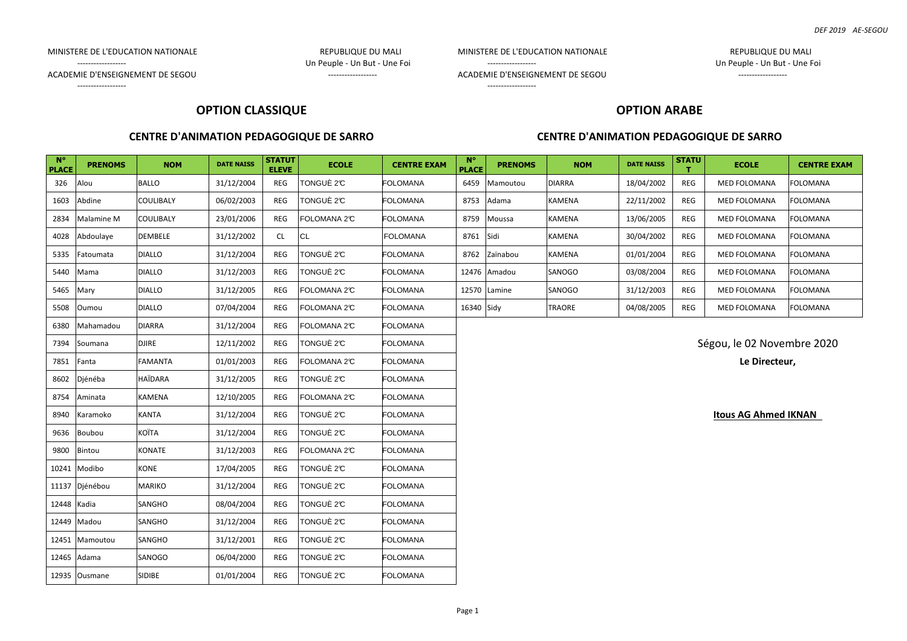MINISTERE DE L'EDUCATION NATIONALE **Australia en la construction de la construction de la construction de la construction de la construction de la construction de la construction de la construction de la construction de la** 

MINISTERE DE L'EDUCATION NATIONALE REPUBLIQUE DU MALI

------------------ Un Peuple - Un But - Une Foi

ACADEMIE D'ENSEIGNEMENT DE SEGOU ACADEMIE D'ENSEIGNEMENT DE SEGOU

------------------

------------------ Un Peuple - Un But - Une Foi

ACADEMIE D'ENSEIGNEMENT DE SEGOU ACADEMIE D'ENSEIGNEMENT DE SEGOU

#### ------------------

## **OPTION CLASSIQUE**

### **CENTRE D'ANIMATION PEDAGOGIQUE DE SARRO**

# **OPTION ARABE**

### **CENTRE D'ANIMATION PEDAGOGIQUE DE SARRO**

| $N^{\circ}$<br><b>PLACE</b> | <b>PRENOMS</b> | <b>NOM</b>     | <b>DATE NAISS</b> | <b>STATUT</b><br><b>ELEVE</b> | <b>ECOLE</b> | <b>CENTRE EXAM</b> | $N^{\circ}$<br><b>PLACE</b>                                                                                                                                           | <b>PRENOMS</b> | <b>NOM</b>    | <b>DATE NAISS</b> | <b>STATU</b> | <b>ECOLE</b>                | <b>CENTRE EXAM</b> |  |  |
|-----------------------------|----------------|----------------|-------------------|-------------------------------|--------------|--------------------|-----------------------------------------------------------------------------------------------------------------------------------------------------------------------|----------------|---------------|-------------------|--------------|-----------------------------|--------------------|--|--|
| 326                         | Alou           | <b>BALLO</b>   | 31/12/2004        | <b>REG</b>                    | TONGUÈ 2°C   | <b>FOLOMANA</b>    | 6459                                                                                                                                                                  | Mamoutou       | <b>DIARRA</b> | 18/04/2002        | REG          | MED FOLOMANA                | <b>FOLOMANA</b>    |  |  |
| 1603                        | Abdine         | COULIBALY      | 06/02/2003        | REG                           | TONGUÈ 2°C   | <b>FOLOMANA</b>    | 8753                                                                                                                                                                  | Adama          | KAMENA        | 22/11/2002        | <b>REG</b>   | MED FOLOMANA                | <b>FOLOMANA</b>    |  |  |
| 2834                        | Malamine M     | COULIBALY      | 23/01/2006        | <b>REG</b>                    | FOLOMANA 2°C | <b>FOLOMANA</b>    | 8759                                                                                                                                                                  | Moussa         | KAMENA        | 13/06/2005        | REG          | MED FOLOMANA                | <b>FOLOMANA</b>    |  |  |
| 4028                        | Abdoulaye      | <b>DEMBELE</b> | 31/12/2002        | CL                            | <b>CL</b>    | <b>FOLOMANA</b>    | 8761                                                                                                                                                                  | Sidi           | KAMENA        | 30/04/2002        | REG          | <b>MED FOLOMANA</b>         | <b>FOLOMANA</b>    |  |  |
| 5335                        | Fatoumata      | <b>DIALLO</b>  | 31/12/2004        | <b>REG</b>                    | TONGUÈ 2℃    | <b>FOLOMANA</b>    | 8762                                                                                                                                                                  | Zaïnabou       | KAMENA        | 01/01/2004        | REG          | MED FOLOMANA                | <b>FOLOMANA</b>    |  |  |
| 5440                        | Mama           | <b>DIALLO</b>  | 31/12/2003        | <b>REG</b>                    | TONGUÈ 2°C   | <b>FOLOMANA</b>    |                                                                                                                                                                       | 12476 Amadou   | SANOGO        | 03/08/2004        | REG          | <b>MED FOLOMANA</b>         | <b>FOLOMANA</b>    |  |  |
| 5465                        | Mary           | <b>DIALLO</b>  | 31/12/2005        | <b>REG</b>                    | FOLOMANA 2C  | <b>FOLOMANA</b>    | 12570 Lamine<br>SANOGO<br>31/12/2003<br><b>FOLOMANA</b><br>REG<br>MED FOLOMANA<br><b>TRAORE</b><br>04/08/2005<br>REG<br><b>FOLOMANA</b><br>16340 Sidy<br>MED FOLOMANA |                |               |                   |              |                             |                    |  |  |
| 5508                        | Oumou          | <b>DIALLO</b>  | 07/04/2004        | REG                           | FOLOMANA 2°C | FOLOMANA           |                                                                                                                                                                       |                |               |                   |              |                             |                    |  |  |
| 6380                        | Mahamadou      | <b>DIARRA</b>  | 31/12/2004        | <b>REG</b>                    | FOLOMANA 2°C | <b>FOLOMANA</b>    |                                                                                                                                                                       |                |               |                   |              |                             |                    |  |  |
| 7394                        | Soumana        | <b>DJIRE</b>   | 12/11/2002        | <b>REG</b>                    | TONGUÈ 2°C   | <b>FOLOMANA</b>    |                                                                                                                                                                       |                |               |                   |              | Ségou, le 02 Novembre 2020  |                    |  |  |
| 7851                        | Fanta          | FAMANTA        | 01/01/2003        | <b>REG</b>                    | FOLOMANA 2°C | <b>FOLOMANA</b>    |                                                                                                                                                                       |                |               |                   |              | Le Directeur,               |                    |  |  |
| 8602                        | Djénéba        | HAÏDARA        | 31/12/2005        | <b>REG</b>                    | TONGUÈ 2°C   | <b>FOLOMANA</b>    |                                                                                                                                                                       |                |               |                   |              |                             |                    |  |  |
| 8754                        | Aminata        | KAMENA         | 12/10/2005        | REG                           | FOLOMANA 2°C | <b>FOLOMANA</b>    |                                                                                                                                                                       |                |               |                   |              |                             |                    |  |  |
| 8940                        | Karamoko       | <b>KANTA</b>   | 31/12/2004        | REG                           | TONGUÈ 2℃    | <b>FOLOMANA</b>    |                                                                                                                                                                       |                |               |                   |              | <b>Itous AG Ahmed IKNAN</b> |                    |  |  |
| 9636                        | Boubou         | <b>KOÏTA</b>   | 31/12/2004        | <b>REG</b>                    | TONGUÈ 2℃    | <b>FOLOMANA</b>    |                                                                                                                                                                       |                |               |                   |              |                             |                    |  |  |
| 9800                        | Bintou         | <b>KONATE</b>  | 31/12/2003        | REG                           | FOLOMANA 2°C | <b>FOLOMANA</b>    |                                                                                                                                                                       |                |               |                   |              |                             |                    |  |  |
| 10241                       | Modibo         | <b>KONE</b>    | 17/04/2005        | <b>REG</b>                    | TONGUÈ 2°C   | <b>FOLOMANA</b>    |                                                                                                                                                                       |                |               |                   |              |                             |                    |  |  |
| 11137                       | Djénébou       | <b>MARIKO</b>  | 31/12/2004        | <b>REG</b>                    | TONGUÈ 2°C   | <b>FOLOMANA</b>    |                                                                                                                                                                       |                |               |                   |              |                             |                    |  |  |
| 12448 Kadia                 |                | SANGHO         | 08/04/2004        | <b>REG</b>                    | TONGUÈ 2°C   | FOLOMANA           |                                                                                                                                                                       |                |               |                   |              |                             |                    |  |  |
| 12449                       | Madou          | SANGHO         | 31/12/2004        | <b>REG</b>                    | TONGUÈ 2°C   | <b>FOLOMANA</b>    |                                                                                                                                                                       |                |               |                   |              |                             |                    |  |  |
|                             | 12451 Mamoutou | SANGHO         | 31/12/2001        | <b>REG</b>                    | TONGUÈ 2°C   | <b>FOLOMANA</b>    |                                                                                                                                                                       |                |               |                   |              |                             |                    |  |  |
| 12465 Adama                 |                | SANOGO         | 06/04/2000        | REG                           | TONGUÈ 2℃    | <b>FOLOMANA</b>    |                                                                                                                                                                       |                |               |                   |              |                             |                    |  |  |
|                             | 12935 Ousmane  | <b>SIDIBE</b>  | 01/01/2004        | REG                           | TONGUÈ 2°C   | <b>FOLOMANA</b>    |                                                                                                                                                                       |                |               |                   |              |                             |                    |  |  |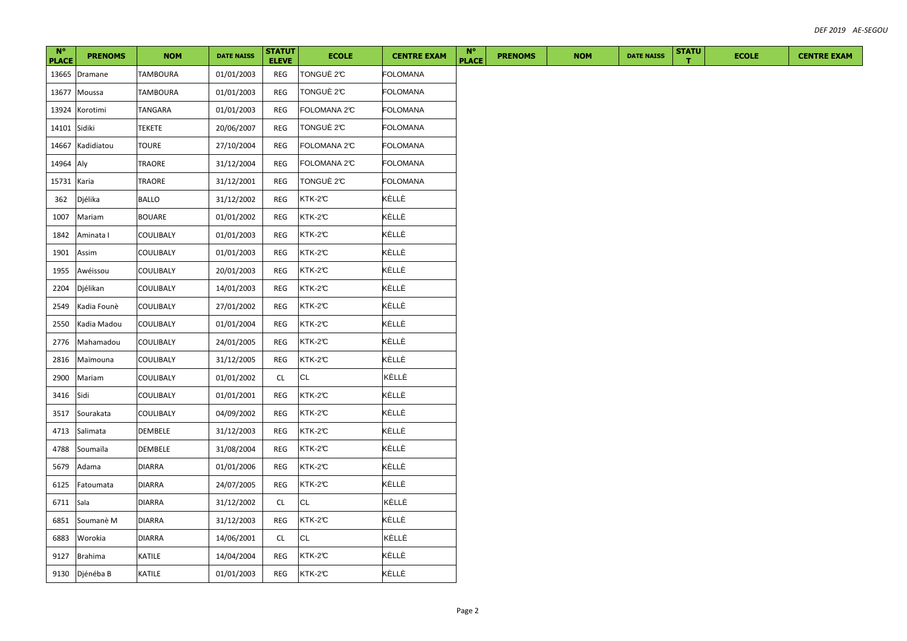| $N^{\circ}$<br><b>PLACE</b> | <b>PRENOMS</b> | <b>NOM</b>      | <b>DATE NAISS</b> | <b>STATUT</b><br><b>ELEVE</b> | <b>ECOLE</b> | <b>CENTRE EXAM</b> | $N^{\circ}$<br><b>PLACE</b> | <b>PRENOMS</b> | <b>NOM</b> | <b>DATE NAISS</b> | <b>STATU</b> | <b>ECOLE</b> | <b>CENTRE EXAM</b> |
|-----------------------------|----------------|-----------------|-------------------|-------------------------------|--------------|--------------------|-----------------------------|----------------|------------|-------------------|--------------|--------------|--------------------|
| 13665                       | Dramane        | <b>TAMBOURA</b> | 01/01/2003        | REG                           | TONGUÈ 2°C   | <b>FOLOMANA</b>    |                             |                |            |                   |              |              |                    |
| 13677                       | Moussa         | <b>TAMBOURA</b> | 01/01/2003        | <b>REG</b>                    | TONGUÈ 2°C   | <b>FOLOMANA</b>    |                             |                |            |                   |              |              |                    |
| 13924                       | Korotimi       | TANGARA         | 01/01/2003        | <b>REG</b>                    | FOLOMANA 2°C | <b>FOLOMANA</b>    |                             |                |            |                   |              |              |                    |
| 14101 Sidiki                |                | <b>TEKETE</b>   | 20/06/2007        | REG                           | TONGUÈ 2°C   | <b>FOLOMANA</b>    |                             |                |            |                   |              |              |                    |
| 14667                       | Kadidiatou     | <b>TOURE</b>    | 27/10/2004        | REG                           | FOLOMANA 2°C | <b>FOLOMANA</b>    |                             |                |            |                   |              |              |                    |
| 14964                       | Aly            | TRAORE          | 31/12/2004        | REG                           | FOLOMANA 2°C | <b>FOLOMANA</b>    |                             |                |            |                   |              |              |                    |
| 15731                       | Karia          | TRAORE          | 31/12/2001        | REG                           | TONGUÈ 2°C   | <b>FOLOMANA</b>    |                             |                |            |                   |              |              |                    |
| 362                         | Djélika        | <b>BALLO</b>    | 31/12/2002        | REG                           | KTK-2°C      | KÈLLÈ              |                             |                |            |                   |              |              |                    |
| 1007                        | Mariam         | <b>BOUARE</b>   | 01/01/2002        | REG                           | KTK-2°C      | KÈLLÈ              |                             |                |            |                   |              |              |                    |
| 1842                        | Aminata I      | COULIBALY       | 01/01/2003        | REG                           | KTK-2°C      | KÈLLÈ              |                             |                |            |                   |              |              |                    |
| 1901                        | Assim          | COULIBALY       | 01/01/2003        | REG                           | KTK-2°C      | KÈLLÈ              |                             |                |            |                   |              |              |                    |
| 1955                        | Awéissou       | COULIBALY       | 20/01/2003        | <b>REG</b>                    | KTK-2°C      | KÈLLÈ              |                             |                |            |                   |              |              |                    |
| 2204                        | Djélikan       | COULIBALY       | 14/01/2003        | REG                           | KTK-2°C      | KÈLLÈ              |                             |                |            |                   |              |              |                    |
| 2549                        | Kadia Founè    | COULIBALY       | 27/01/2002        | REG                           | KTK-2C       | KÈLLÈ              |                             |                |            |                   |              |              |                    |
| 2550                        | Kadia Madou    | COULIBALY       | 01/01/2004        | REG                           | KTK-2°C      | KÈLLÈ              |                             |                |            |                   |              |              |                    |
| 2776                        | Mahamadou      | COULIBALY       | 24/01/2005        | REG                           | KTK-2°C      | KÈLLÈ              |                             |                |            |                   |              |              |                    |
| 2816                        | Maïmouna       | COULIBALY       | 31/12/2005        | <b>REG</b>                    | KTK-2C       | KÈLLÈ              |                             |                |            |                   |              |              |                    |
| 2900                        | Mariam         | COULIBALY       | 01/01/2002        | CL                            | CL           | KÈLLÈ              |                             |                |            |                   |              |              |                    |
| 3416                        | Sidi           | COULIBALY       | 01/01/2001        | REG                           | KTK-2C       | KÈLLÈ              |                             |                |            |                   |              |              |                    |
| 3517                        | Sourakata      | COULIBALY       | 04/09/2002        | REG                           | KTK-2°C      | KÈLLÈ              |                             |                |            |                   |              |              |                    |
| 4713                        | Salimata       | <b>DEMBELE</b>  | 31/12/2003        | REG                           | KTK-2C       | KÈLLÈ              |                             |                |            |                   |              |              |                    |
| 4788                        | Soumaïla       | DEMBELE         | 31/08/2004        | REG                           | KTK-2°C      | KÈLLÈ              |                             |                |            |                   |              |              |                    |
| 5679                        | Adama          | <b>DIARRA</b>   | 01/01/2006        | <b>REG</b>                    | KTK-2C       | KÈLLÈ              |                             |                |            |                   |              |              |                    |
| 6125                        | Fatoumata      | <b>DIARRA</b>   | 24/07/2005        | REG                           | KTK-2°C      | KÈLLÈ              |                             |                |            |                   |              |              |                    |
| 6711                        | Sala           | <b>DIARRA</b>   | 31/12/2002        | <b>CL</b>                     | <b>CL</b>    | KÈLLÈ              |                             |                |            |                   |              |              |                    |
| 6851                        | Soumanè M      | <b>DIARRA</b>   | 31/12/2003        | REG                           | KTK-2°C      | KÈLLÈ              |                             |                |            |                   |              |              |                    |
| 6883                        | Worokia        | <b>DIARRA</b>   | 14/06/2001        | <b>CL</b>                     | <b>CL</b>    | KÈLLÈ              |                             |                |            |                   |              |              |                    |
| 9127                        | Brahima        | KATILE          | 14/04/2004        | REG                           | KTK-2°C      | KÈLLÈ              |                             |                |            |                   |              |              |                    |
|                             | 9130 Djénéba B | KATILE          | 01/01/2003        | REG                           | KTK-2°C      | KÈLLÈ              |                             |                |            |                   |              |              |                    |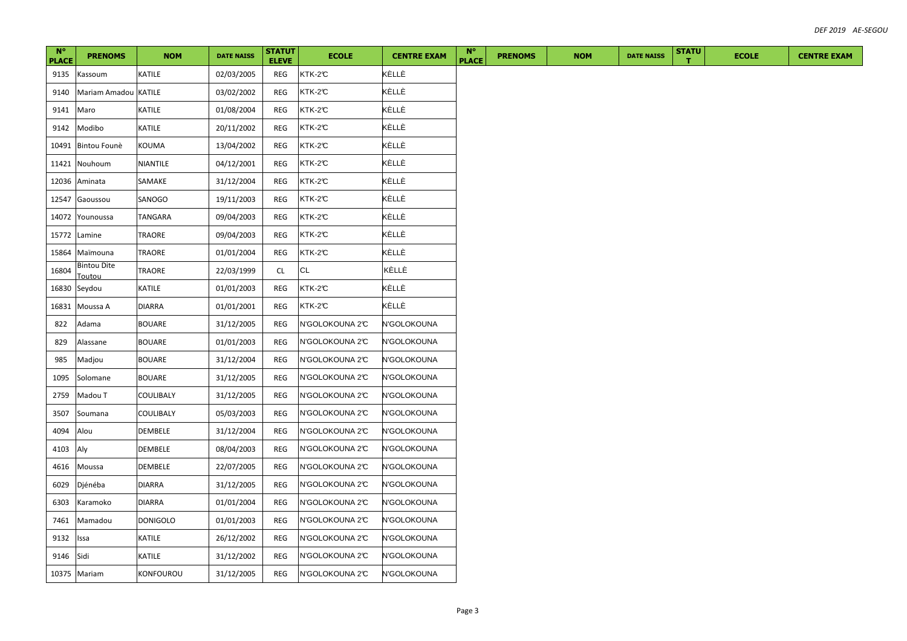| $N^{\circ}$<br><b>PLACE</b> | <b>PRENOMS</b>               | <b>NOM</b>       | <b>DATE NAISS</b> | <b>STATUT</b><br><b>ELEVE</b> | <b>ECOLE</b>    | <b>CENTRE EXAM</b> | $N^{\circ}$<br><b>PLACE</b> | <b>PRENOMS</b> | <b>NOM</b> | <b>DATE NAISS</b> | <b>STATU</b> | <b>ECOLE</b> | <b>CENTRE EXAM</b> |
|-----------------------------|------------------------------|------------------|-------------------|-------------------------------|-----------------|--------------------|-----------------------------|----------------|------------|-------------------|--------------|--------------|--------------------|
| 9135                        | Kassoum                      | KATILE           | 02/03/2005        | REG                           | KTK-2°C         | KÈLLÈ              |                             |                |            |                   |              |              |                    |
| 9140                        | Mariam Amadou KATILE         |                  | 03/02/2002        | REG                           | KTK-2°C         | KÈLLÈ              |                             |                |            |                   |              |              |                    |
| 9141                        | Maro                         | KATILE           | 01/08/2004        | REG                           | KTK-2℃          | KÈLLÈ              |                             |                |            |                   |              |              |                    |
| 9142                        | Modibo                       | KATILE           | 20/11/2002        | <b>REG</b>                    | KTK-2°C         | KÈLLÈ              |                             |                |            |                   |              |              |                    |
| 10491                       | Bintou Founè                 | KOUMA            | 13/04/2002        | REG                           | KTK-2°C         | KÈLLÈ              |                             |                |            |                   |              |              |                    |
| 11421                       | Nouhoum                      | NIANTILE         | 04/12/2001        | REG                           | KTK-2°C         | KÈLLÈ              |                             |                |            |                   |              |              |                    |
| 12036                       | Aminata                      | SAMAKE           | 31/12/2004        | REG                           | KTK-2°C         | KÈLLÈ              |                             |                |            |                   |              |              |                    |
| 12547                       | Gaoussou                     | SANOGO           | 19/11/2003        | <b>REG</b>                    | KTK-2°C         | KÈLLÈ              |                             |                |            |                   |              |              |                    |
| 14072                       | Younoussa                    | TANGARA          | 09/04/2003        | REG                           | KTK-2°C         | KÈLLÈ              |                             |                |            |                   |              |              |                    |
| 15772                       | Lamine                       | TRAORE           | 09/04/2003        | REG                           | KTK-2°C         | KÈLLÈ              |                             |                |            |                   |              |              |                    |
| 15864                       | Maïmouna                     | TRAORE           | 01/01/2004        | REG                           | KTK-2℃          | KÈLLÈ              |                             |                |            |                   |              |              |                    |
| 16804                       | <b>Bintou Dite</b><br>Toutou | TRAORE           | 22/03/1999        | CL                            | CL              | KÈLLÈ              |                             |                |            |                   |              |              |                    |
| 16830                       | Seydou                       | KATILE           | 01/01/2003        | REG                           | KTK-2℃          | KÈLLÈ              |                             |                |            |                   |              |              |                    |
| 16831                       | Moussa A                     | <b>DIARRA</b>    | 01/01/2001        | <b>REG</b>                    | KTK-2°C         | KÈLLÈ              |                             |                |            |                   |              |              |                    |
| 822                         | Adama                        | <b>BOUARE</b>    | 31/12/2005        | REG                           | N'GOLOKOUNA 2°C | N'GOLOKOUNA        |                             |                |            |                   |              |              |                    |
| 829                         | Alassane                     | <b>BOUARE</b>    | 01/01/2003        | REG                           | N'GOLOKOUNA 2°C | N'GOLOKOUNA        |                             |                |            |                   |              |              |                    |
| 985                         | Madjou                       | <b>BOUARE</b>    | 31/12/2004        | REG                           | N'GOLOKOUNA 2°C | N'GOLOKOUNA        |                             |                |            |                   |              |              |                    |
| 1095                        | Solomane                     | <b>BOUARE</b>    | 31/12/2005        | REG                           | N'GOLOKOUNA 2°C | N'GOLOKOUNA        |                             |                |            |                   |              |              |                    |
| 2759                        | Madou T                      | COULIBALY        | 31/12/2005        | REG                           | N'GOLOKOUNA 2°C | N'GOLOKOUNA        |                             |                |            |                   |              |              |                    |
| 3507                        | Soumana                      | COULIBALY        | 05/03/2003        | REG                           | N'GOLOKOUNA 2°C | N'GOLOKOUNA        |                             |                |            |                   |              |              |                    |
| 4094                        | Alou                         | DEMBELE          | 31/12/2004        | REG                           | N'GOLOKOUNA 2°C | N'GOLOKOUNA        |                             |                |            |                   |              |              |                    |
| 4103                        | Aly                          | DEMBELE          | 08/04/2003        | REG                           | N'GOLOKOUNA 2°C | N'GOLOKOUNA        |                             |                |            |                   |              |              |                    |
| 4616                        | Moussa                       | DEMBELE          | 22/07/2005        | REG                           | N'GOLOKOUNA 2°C | N'GOLOKOUNA        |                             |                |            |                   |              |              |                    |
| 6029                        | Djénéba                      | <b>DIARRA</b>    | 31/12/2005        | REG                           | N'GOLOKOUNA 2°C | N'GOLOKOUNA        |                             |                |            |                   |              |              |                    |
| 6303                        | Karamoko                     | <b>DIARRA</b>    | 01/01/2004        | <b>REG</b>                    | N'GOLOKOUNA 2°C | N'GOLOKOUNA        |                             |                |            |                   |              |              |                    |
| 7461                        | Mamadou                      | <b>DONIGOLO</b>  | 01/01/2003        | REG                           | N'GOLOKOUNA 2°C | N'GOLOKOUNA        |                             |                |            |                   |              |              |                    |
| 9132                        | Issa                         | KATILE           | 26/12/2002        | REG                           | N'GOLOKOUNA 2°C | N'GOLOKOUNA        |                             |                |            |                   |              |              |                    |
| 9146                        | Sidi                         | KATILE           | 31/12/2002        | REG                           | N'GOLOKOUNA 2°C | N'GOLOKOUNA        |                             |                |            |                   |              |              |                    |
|                             | 10375 Mariam                 | <b>KONFOUROU</b> | 31/12/2005        | REG                           | N'GOLOKOUNA 2°C | N'GOLOKOUNA        |                             |                |            |                   |              |              |                    |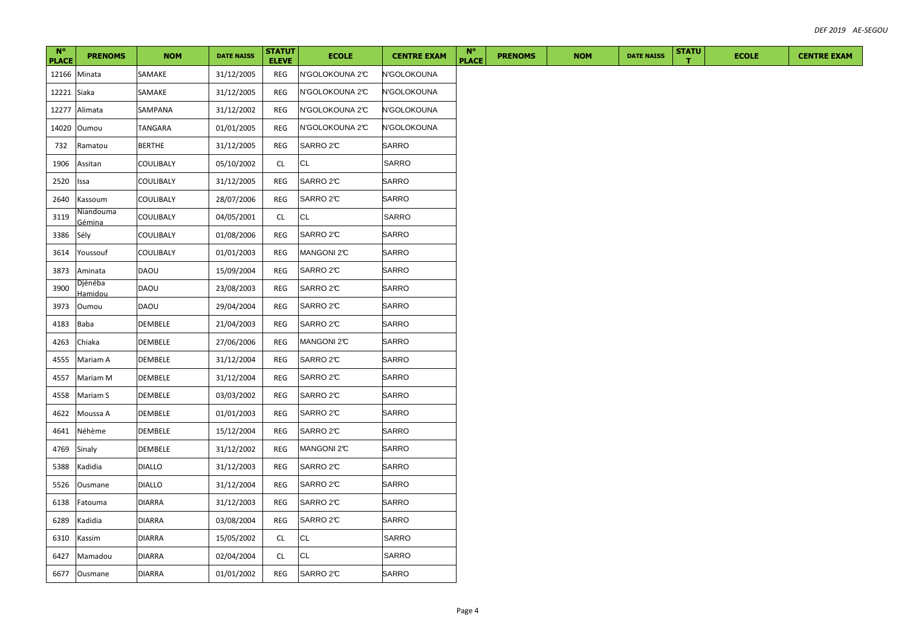| $N^{\circ}$<br><b>PLACE</b> | <b>PRENOMS</b>      | <b>NOM</b>    | <b>DATE NAISS</b> | <b>STATUT</b><br><b>ELEVE</b> | <b>ECOLE</b>    | <b>CENTRE EXAM</b> | $N^{\circ}$<br><b>PLACE</b> | <b>PRENOMS</b> | <b>NOM</b> | <b>DATE NAISS</b> | <b>STATU</b> | <b>ECOLE</b> | <b>CENTRE EXAM</b> |
|-----------------------------|---------------------|---------------|-------------------|-------------------------------|-----------------|--------------------|-----------------------------|----------------|------------|-------------------|--------------|--------------|--------------------|
|                             | 12166 Minata        | SAMAKE        | 31/12/2005        | REG                           | N'GOLOKOUNA 2°C | N'GOLOKOUNA        |                             |                |            |                   |              |              |                    |
| 12221 Siaka                 |                     | SAMAKE        | 31/12/2005        | REG                           | N'GOLOKOUNA 2°C | N'GOLOKOUNA        |                             |                |            |                   |              |              |                    |
| 12277                       | Alimata             | SAMPANA       | 31/12/2002        | REG                           | N'GOLOKOUNA 2°C | N'GOLOKOUNA        |                             |                |            |                   |              |              |                    |
| 14020                       | Oumou               | TANGARA       | 01/01/2005        | REG                           | N'GOLOKOUNA 2°C | N'GOLOKOUNA        |                             |                |            |                   |              |              |                    |
| 732                         | Ramatou             | <b>BERTHE</b> | 31/12/2005        | REG                           | SARRO 2℃        | SARRO              |                             |                |            |                   |              |              |                    |
| 1906                        | Assitan             | COULIBALY     | 05/10/2002        | <b>CL</b>                     | <b>CL</b>       | SARRO              |                             |                |            |                   |              |              |                    |
| 2520                        | Issa                | COULIBALY     | 31/12/2005        | REG                           | SARRO 2℃        | SARRO              |                             |                |            |                   |              |              |                    |
| 2640                        | Kassoum             | COULIBALY     | 28/07/2006        | REG                           | SARRO 2°C       | SARRO              |                             |                |            |                   |              |              |                    |
| 3119                        | Niandouma<br>Gémina | COULIBALY     | 04/05/2001        | CL                            | CL              | SARRO              |                             |                |            |                   |              |              |                    |
| 3386                        | Sély                | COULIBALY     | 01/08/2006        | REG                           | SARRO 2℃        | <b>SARRO</b>       |                             |                |            |                   |              |              |                    |
| 3614                        | Youssouf            | COULIBALY     | 01/01/2003        | REG                           | MANGONI 2°C     | <b>SARRO</b>       |                             |                |            |                   |              |              |                    |
| 3873                        | Aminata             | DAOU          | 15/09/2004        | REG                           | SARRO 2°C       | <b>SARRO</b>       |                             |                |            |                   |              |              |                    |
| 3900                        | Djénéba<br>lamidou  | <b>DAOU</b>   | 23/08/2003        | REG                           | SARRO 2℃        | <b>SARRO</b>       |                             |                |            |                   |              |              |                    |
| 3973                        | Oumou               | DAOU          | 29/04/2004        | REG                           | SARRO 2°C       | <b>SARRO</b>       |                             |                |            |                   |              |              |                    |
| 4183                        | Baba                | DEMBELE       | 21/04/2003        | REG                           | SARRO 2℃        | <b>SARRO</b>       |                             |                |            |                   |              |              |                    |
| 4263                        | Chiaka              | DEMBELE       | 27/06/2006        | REG                           | MANGONI 2°C     | SARRO              |                             |                |            |                   |              |              |                    |
| 4555                        | Mariam A            | DEMBELE       | 31/12/2004        | REG                           | SARRO 2℃        | SARRO              |                             |                |            |                   |              |              |                    |
| 4557                        | Mariam M            | DEMBELE       | 31/12/2004        | REG                           | SARRO 2°C       | SARRO              |                             |                |            |                   |              |              |                    |
| 4558                        | Mariam S            | DEMBELE       | 03/03/2002        | REG                           | SARRO 2℃        | SARRO              |                             |                |            |                   |              |              |                    |
| 4622                        | Moussa A            | DEMBELE       | 01/01/2003        | REG                           | SARRO 2°C       | SARRO              |                             |                |            |                   |              |              |                    |
| 4641                        | Néhème              | DEMBELE       | 15/12/2004        | REG                           | SARRO 2℃        | SARRO              |                             |                |            |                   |              |              |                    |
| 4769                        | Sinaly              | DEMBELE       | 31/12/2002        | REG                           | MANGONI 2°C     | SARRO              |                             |                |            |                   |              |              |                    |
| 5388                        | Kadidia             | <b>DIALLO</b> | 31/12/2003        | REG                           | SARRO 2℃        | <b>SARRO</b>       |                             |                |            |                   |              |              |                    |
| 5526                        | Ousmane             | <b>DIALLO</b> | 31/12/2004        | REG                           | SARRO 2°C       | SARRO              |                             |                |            |                   |              |              |                    |
| 6138                        | Fatouma             | <b>DIARRA</b> | 31/12/2003        | REG                           | SARRO 2°C       | <b>SARRO</b>       |                             |                |            |                   |              |              |                    |
| 6289                        | Kadidia             | <b>DIARRA</b> | 03/08/2004        | REG                           | SARRO 2°C       | SARRO              |                             |                |            |                   |              |              |                    |
| 6310                        | Kassim              | <b>DIARRA</b> | 15/05/2002        | <b>CL</b>                     | <b>CL</b>       | SARRO              |                             |                |            |                   |              |              |                    |
| 6427                        | Mamadou             | <b>DIARRA</b> | 02/04/2004        | <b>CL</b>                     | <b>CL</b>       | SARRO              |                             |                |            |                   |              |              |                    |
|                             | 6677 Ousmane        | <b>DIARRA</b> | 01/01/2002        | REG                           | SARRO 2C        | SARRO              |                             |                |            |                   |              |              |                    |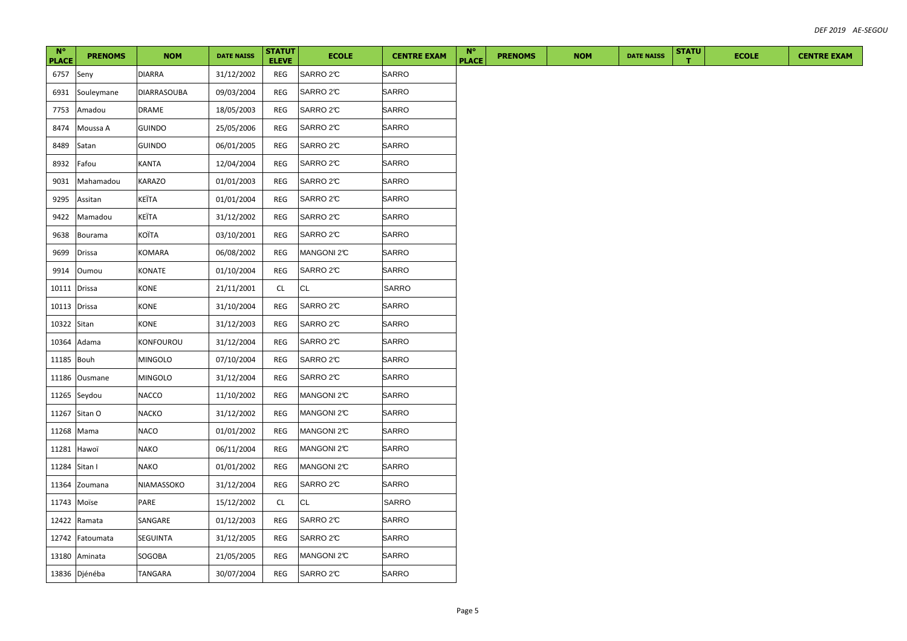| $N^{\circ}$<br><b>PLACE</b> | <b>PRENOMS</b> | <b>NOM</b>         | <b>DATE NAISS</b> | <b>STATUT</b><br><b>ELEVE</b> | <b>ECOLE</b> | <b>CENTRE EXAM</b> | $N^{\circ}$<br><b>PLACE</b> | <b>PRENOMS</b> | <b>NOM</b> | <b>DATE NAISS</b> | <b>STATU</b> | <b>ECOLE</b> | <b>CENTRE EXAM</b> |
|-----------------------------|----------------|--------------------|-------------------|-------------------------------|--------------|--------------------|-----------------------------|----------------|------------|-------------------|--------------|--------------|--------------------|
| 6757                        | Seny           | DIARRA             | 31/12/2002        | REG                           | SARRO 2C     | SARRO              |                             |                |            |                   |              |              |                    |
| 6931                        | Souleymane     | <b>DIARRASOUBA</b> | 09/03/2004        | REG                           | SARRO 2C     | <b>SARRO</b>       |                             |                |            |                   |              |              |                    |
| 7753                        | Amadou         | DRAME              | 18/05/2003        | REG                           | SARRO 2°C    | <b>SARRO</b>       |                             |                |            |                   |              |              |                    |
| 8474                        | Moussa A       | <b>GUINDO</b>      | 25/05/2006        | REG                           | SARRO 2C     | SARRO              |                             |                |            |                   |              |              |                    |
| 8489                        | Satan          | GUINDO             | 06/01/2005        | REG                           | SARRO 2°C    | SARRO              |                             |                |            |                   |              |              |                    |
| 8932                        | Fafou          | KANTA              | 12/04/2004        | REG                           | SARRO 2°C    | SARRO              |                             |                |            |                   |              |              |                    |
| 9031                        | Mahamadou      | KARAZO             | 01/01/2003        | REG                           | SARRO 2°C    | SARRO              |                             |                |            |                   |              |              |                    |
| 9295                        | Assitan        | KEÏTA              | 01/01/2004        | REG                           | SARRO 2°C    | SARRO              |                             |                |            |                   |              |              |                    |
| 9422                        | Mamadou        | KEÏTA              | 31/12/2002        | REG                           | SARRO 2°C    | SARRO              |                             |                |            |                   |              |              |                    |
| 9638                        | Bourama        | KOÏTA              | 03/10/2001        | REG                           | SARRO 2C     | <b>SARRO</b>       |                             |                |            |                   |              |              |                    |
| 9699                        | Drissa         | KOMARA             | 06/08/2002        | REG                           | MANGONI 2°C  | <b>SARRO</b>       |                             |                |            |                   |              |              |                    |
| 9914                        | Oumou          | KONATE             | 01/10/2004        | REG                           | SARRO 2°C    | <b>SARRO</b>       |                             |                |            |                   |              |              |                    |
| 10111                       | Drissa         | KONE               | 21/11/2001        | CL                            | CL           | SARRO              |                             |                |            |                   |              |              |                    |
| 10113                       | <b>Drissa</b>  | KONE               | 31/10/2004        | REG                           | SARRO 2°C    | <b>SARRO</b>       |                             |                |            |                   |              |              |                    |
| 10322 Sitan                 |                | KONE               | 31/12/2003        | REG                           | SARRO 2℃     | <b>SARRO</b>       |                             |                |            |                   |              |              |                    |
| 10364                       | Adama          | KONFOUROU          | 31/12/2004        | <b>REG</b>                    | SARRO 2°C    | SARRO              |                             |                |            |                   |              |              |                    |
| 11185                       | Bouh           | <b>MINGOLO</b>     | 07/10/2004        | REG                           | SARRO 2℃     | SARRO              |                             |                |            |                   |              |              |                    |
| 11186                       | Ousmane        | <b>MINGOLO</b>     | 31/12/2004        | REG                           | SARRO 2°C    | SARRO              |                             |                |            |                   |              |              |                    |
|                             | 11265 Seydou   | NACCO              | 11/10/2002        | REG                           | MANGONI 2°C  | SARRO              |                             |                |            |                   |              |              |                    |
|                             | 11267 Sitan O  | NACKO              | 31/12/2002        | REG                           | MANGONI 2°C  | SARRO              |                             |                |            |                   |              |              |                    |
|                             | 11268 Mama     | <b>NACO</b>        | 01/01/2002        | REG                           | MANGONI 2°C  | SARRO              |                             |                |            |                   |              |              |                    |
| 11281                       | Hawoï          | NAKO               | 06/11/2004        | REG                           | MANGONI 2°C  | SARRO              |                             |                |            |                   |              |              |                    |
|                             | 11284 Sitan I  | <b>NAKO</b>        | 01/01/2002        | REG                           | MANGONI 2°C  | <b>SARRO</b>       |                             |                |            |                   |              |              |                    |
| 11364                       | Zoumana        | NIAMASSOKO         | 31/12/2004        | REG                           | SARRO 2°C    | SARRO              |                             |                |            |                   |              |              |                    |
| 11743 Moïse                 |                | PARE               | 15/12/2002        | <b>CL</b>                     | <b>CL</b>    | SARRO              |                             |                |            |                   |              |              |                    |
|                             | 12422 Ramata   | SANGARE            | 01/12/2003        | REG                           | SARRO 2°C    | SARRO              |                             |                |            |                   |              |              |                    |
| 12742                       | Fatoumata      | SEGUINTA           | 31/12/2005        | REG                           | SARRO 2C     | <b>SARRO</b>       |                             |                |            |                   |              |              |                    |
|                             | 13180 Aminata  | SOGOBA             | 21/05/2005        | <b>REG</b>                    | MANGONI 2°C  | SARRO              |                             |                |            |                   |              |              |                    |
|                             | 13836 Djénéba  | <b>TANGARA</b>     | 30/07/2004        | REG                           | SARRO 2C     | SARRO              |                             |                |            |                   |              |              |                    |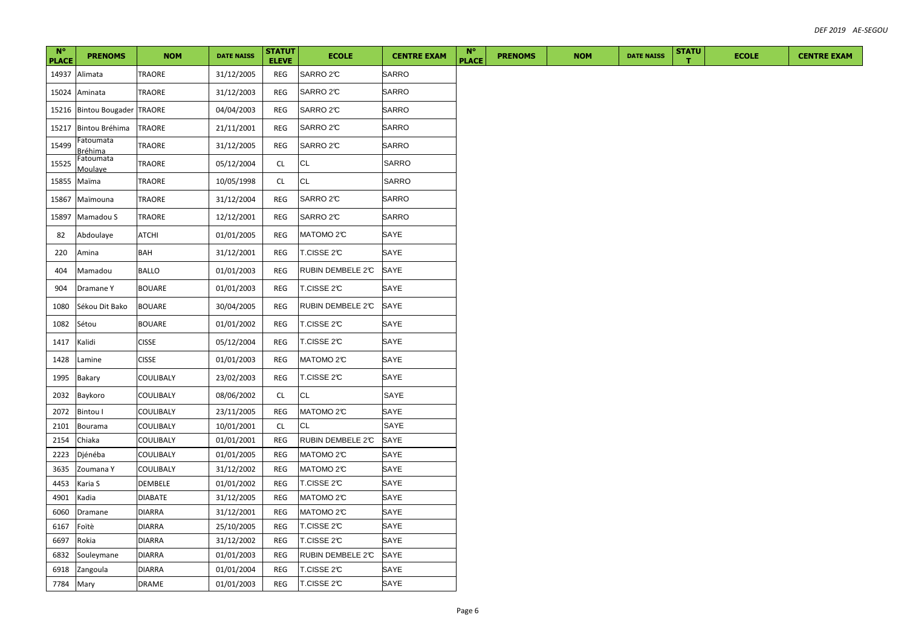| $N^{\circ}$<br><b>PLACE</b> | <b>PRENOMS</b>              | <b>NOM</b>     | <b>DATE NAISS</b> | <b>STATUT</b><br><b>ELEVE</b> | <b>ECOLE</b>          | <b>CENTRE EXAM</b> | $N^{\circ}$<br><b>PLACE</b> | <b>PRENOMS</b> | <b>NOM</b> | <b>DATE NAISS</b> | <b>STATU</b><br>т | <b>ECOLE</b> | <b>CENTRE EXAM</b> |
|-----------------------------|-----------------------------|----------------|-------------------|-------------------------------|-----------------------|--------------------|-----------------------------|----------------|------------|-------------------|-------------------|--------------|--------------------|
| 14937                       | Alimata                     | TRAORE         | 31/12/2005        | REG                           | SARRO 2°C             | SARRO              |                             |                |            |                   |                   |              |                    |
| 15024                       | Aminata                     | <b>TRAORE</b>  | 31/12/2003        | REG                           | SARRO 2°C             | <b>SARRO</b>       |                             |                |            |                   |                   |              |                    |
| 15216                       | Bintou Bougader TRAORE      |                | 04/04/2003        | REG                           | SARRO 2°C             | SARRO              |                             |                |            |                   |                   |              |                    |
| 15217                       | Bintou Bréhima              | <b>TRAORE</b>  | 21/11/2001        | <b>REG</b>                    | SARRO 2°C             | SARRO              |                             |                |            |                   |                   |              |                    |
| 15499                       | Fatoumata                   | <b>TRAORE</b>  | 31/12/2005        | <b>REG</b>                    | SARRO 2°C             | SARRO              |                             |                |            |                   |                   |              |                    |
| 15525                       | <u>Bréhima</u><br>Fatoumata | <b>TRAORE</b>  | 05/12/2004        | CL                            | CL                    | <b>SARRO</b>       |                             |                |            |                   |                   |              |                    |
| 15855                       | Moulaye<br>Maïma            | <b>TRAORE</b>  | 10/05/1998        | <b>CL</b>                     | <b>CL</b>             | <b>SARRO</b>       |                             |                |            |                   |                   |              |                    |
| 15867                       | Maïmouna                    | <b>TRAORE</b>  | 31/12/2004        | REG                           | SARRO 2°C             | SARRO              |                             |                |            |                   |                   |              |                    |
| 15897                       | Mamadou S                   | TRAORE         | 12/12/2001        | REG                           | SARRO 2°C             | SARRO              |                             |                |            |                   |                   |              |                    |
| 82                          | Abdoulaye                   | <b>ATCHI</b>   | 01/01/2005        | REG                           | MATOMO <sub>2</sub> C | SAYE               |                             |                |            |                   |                   |              |                    |
| 220                         | Amina                       | BAH            | 31/12/2001        | <b>REG</b>                    | T.CISSE 2℃            | SAYE               |                             |                |            |                   |                   |              |                    |
| 404                         | Mamadou                     | <b>BALLO</b>   | 01/01/2003        | REG                           | RUBIN DEMBELE 2°C     | SAYE               |                             |                |            |                   |                   |              |                    |
| 904                         | Dramane Y                   | <b>BOUARE</b>  | 01/01/2003        | REG                           | T.CISSE 2℃            | SAYE               |                             |                |            |                   |                   |              |                    |
|                             | Sékou Dit Bako              | <b>BOUARE</b>  |                   |                               | RUBIN DEMBELE 2°C     | SAYE               |                             |                |            |                   |                   |              |                    |
| 1080                        |                             |                | 30/04/2005        | REG                           |                       |                    |                             |                |            |                   |                   |              |                    |
| 1082                        | Sétou                       | <b>BOUARE</b>  | 01/01/2002        | REG                           | T.CISSE 2°C           | SAYE               |                             |                |            |                   |                   |              |                    |
| 1417                        | Kalidi                      | <b>CISSE</b>   | 05/12/2004        | REG                           | T.CISSE 2℃            | SAYE               |                             |                |            |                   |                   |              |                    |
| 1428                        | Lamine                      | <b>CISSE</b>   | 01/01/2003        | <b>REG</b>                    | MATOMO 2°C            | SAYE               |                             |                |            |                   |                   |              |                    |
| 1995                        | Bakary                      | COULIBALY      | 23/02/2003        | REG                           | T.CISSE 2℃            | SAYE               |                             |                |            |                   |                   |              |                    |
| 2032                        | Baykoro                     | COULIBALY      | 08/06/2002        | CL                            | CL                    | SAYE               |                             |                |            |                   |                   |              |                    |
| 2072                        | Bintou I                    | COULIBALY      | 23/11/2005        | <b>REG</b>                    | MATOMO <sub>2</sub> C | SAYE               |                             |                |            |                   |                   |              |                    |
| 2101                        | Bourama                     | COULIBALY      | 10/01/2001        | <b>CL</b>                     | <b>CL</b>             | SAYE               |                             |                |            |                   |                   |              |                    |
| 2154                        | Chiaka                      | COULIBALY      | 01/01/2001        | REG                           | RUBIN DEMBELE 2°C     | SAYE               |                             |                |            |                   |                   |              |                    |
| 2223                        | Djénéba                     | COULIBALY      | 01/01/2005        | REG                           | MATOMO 2°C            | SAYE               |                             |                |            |                   |                   |              |                    |
| 3635                        | Zoumana Y                   | COULIBALY      | 31/12/2002        | REG                           | MATOMO <sub>2</sub> C | SAYE               |                             |                |            |                   |                   |              |                    |
| 4453                        | Karia S                     | DEMBELE        | 01/01/2002        | <b>REG</b>                    | T.CISSE 2℃            | SAYE               |                             |                |            |                   |                   |              |                    |
| 4901                        | Kadia                       | <b>DIABATE</b> | 31/12/2005        | REG                           | MATOMO 2°C            | SAYE               |                             |                |            |                   |                   |              |                    |
| 6060                        | Dramane                     | <b>DIARRA</b>  | 31/12/2001        | REG                           | MATOMO 2°C            | SAYE               |                             |                |            |                   |                   |              |                    |
| 6167                        | Foïtè                       | <b>DIARRA</b>  | 25/10/2005        | REG                           | T.CISSE 2℃            | SAYE               |                             |                |            |                   |                   |              |                    |
| 6697                        | Rokia                       | <b>DIARRA</b>  | 31/12/2002        | REG                           | T.CISSE 2℃            | SAYE               |                             |                |            |                   |                   |              |                    |
| 6832                        | Souleymane                  | <b>DIARRA</b>  | 01/01/2003        | REG                           | RUBIN DEMBELE 2°C     | SAYE               |                             |                |            |                   |                   |              |                    |
| 6918                        | Zangoula                    | <b>DIARRA</b>  | 01/01/2004        | REG                           | T.CISSE 2C            | SAYE               |                             |                |            |                   |                   |              |                    |
| 7784                        | Mary                        | <b>DRAME</b>   | 01/01/2003        | REG                           | T.CISSE 2℃            | SAYE               |                             |                |            |                   |                   |              |                    |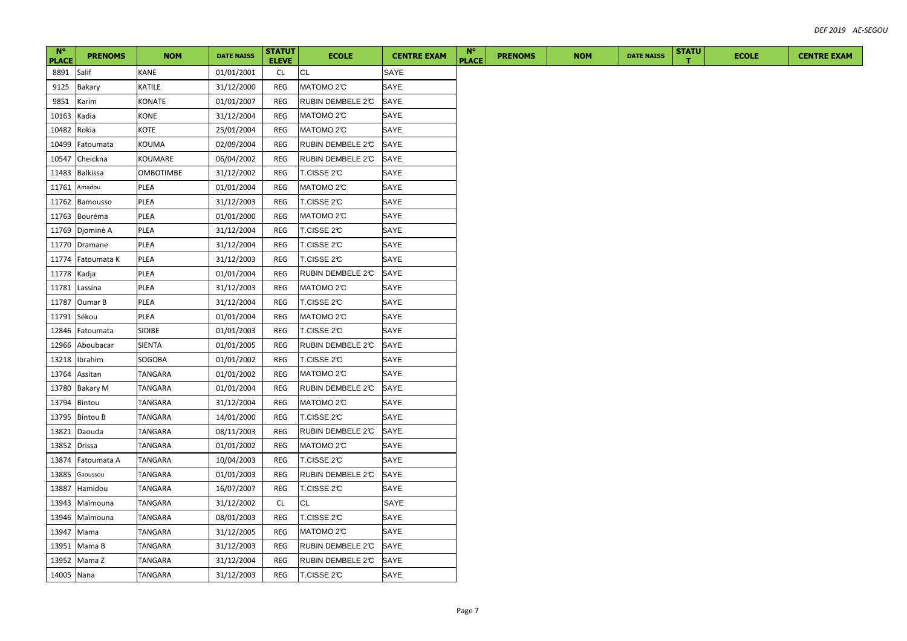| $N^{\circ}$<br><b>PLACE</b> | <b>PRENOMS</b>  | <b>NOM</b>     | <b>DATE NAISS</b> | <b>STATUT</b><br><b>ELEVE</b> | <b>ECOLE</b>           | <b>CENTRE EXAM</b> | $N^{\circ}$<br><b>PLACE</b> | <b>PRENOMS</b> | <b>NOM</b> | <b>DATE NAISS</b> | <b>STATU</b> | <b>ECOLE</b> | <b>CENTRE EXAM</b> |
|-----------------------------|-----------------|----------------|-------------------|-------------------------------|------------------------|--------------------|-----------------------------|----------------|------------|-------------------|--------------|--------------|--------------------|
| 8891                        | Salif           | <b>KANE</b>    | 01/01/2001        | <b>CL</b>                     | CL                     | SAYE               |                             |                |            |                   |              |              |                    |
| 9125                        | <b>Bakary</b>   | KATILE         | 31/12/2000        | REG                           | MATOMO <sub>2</sub> C  | SAYE               |                             |                |            |                   |              |              |                    |
| 9851                        | Karim           | <b>KONATE</b>  | 01/01/2007        | <b>REG</b>                    | RUBIN DEMBELE 2°C      | SAYE               |                             |                |            |                   |              |              |                    |
| 10163                       | Kadia           | <b>KONE</b>    | 31/12/2004        | REG                           | MATOMO <sub>2</sub> C  | SAYE               |                             |                |            |                   |              |              |                    |
| 10482                       | Rokia           | KOTE           | 25/01/2004        | REG                           | MATOMO <sub>2</sub> C  | SAYE               |                             |                |            |                   |              |              |                    |
| 10499                       | Fatoumata       | KOUMA          | 02/09/2004        | <b>REG</b>                    | RUBIN DEMBELE 2°C      | SAYE               |                             |                |            |                   |              |              |                    |
| 10547                       | Cheickna        | KOUMARE        | 06/04/2002        | REG                           | RUBIN DEMBELE 2°C      | SAYE               |                             |                |            |                   |              |              |                    |
| 11483                       | <b>Balkissa</b> | OMBOTIMBE      | 31/12/2002        | REG                           | T.CISSE 2℃             | SAYE               |                             |                |            |                   |              |              |                    |
| 11761                       | Amadou          | PLEA           | 01/01/2004        | REG                           | MATOMO <sub>2</sub> C  | SAYE               |                             |                |            |                   |              |              |                    |
| 11762                       | Bamousso        | PLEA           | 31/12/2003        | REG                           | T.CISSE 2℃             | SAYE               |                             |                |            |                   |              |              |                    |
| 11763                       | Bouréma         | PLEA           | 01/01/2000        | <b>REG</b>                    | MATOMO <sub>2</sub> C  | SAYE               |                             |                |            |                   |              |              |                    |
| 11769                       | Djominè A       | PLEA           | 31/12/2004        | REG                           | T.CISSE 2℃             | SAYE               |                             |                |            |                   |              |              |                    |
| 11770                       | Dramane         | PLEA           | 31/12/2004        | REG                           | T.CISSE 2℃             | SAYE               |                             |                |            |                   |              |              |                    |
| 11774                       | Fatoumata K     | <b>PLEA</b>    | 31/12/2003        | <b>REG</b>                    | T.CISSE 2°C            | SAYE               |                             |                |            |                   |              |              |                    |
| 11778                       | Kadja           | PLEA           | 01/01/2004        | REG                           | RUBIN DEMBELE 2°C      | SAYE               |                             |                |            |                   |              |              |                    |
| 11781                       | Lassina         | PLEA           | 31/12/2003        | REG                           | MATOMO <sub>2</sub> C  | SAYE               |                             |                |            |                   |              |              |                    |
| 11787                       | Oumar B         | PLEA           | 31/12/2004        | <b>REG</b>                    | T.CISSE 2°C            | SAYE               |                             |                |            |                   |              |              |                    |
| 11791                       | Sékou           | PLEA           | 01/01/2004        | REG                           | MATOMO <sub>2</sub> C  | SAYE               |                             |                |            |                   |              |              |                    |
| 12846                       | Fatoumata       | SIDIBE         | 01/01/2003        | REG                           | T.CISSE 2℃             | SAYE               |                             |                |            |                   |              |              |                    |
| 12966                       | Aboubacar       | <b>SIENTA</b>  | 01/01/2005        | REG                           | RUBIN DEMBELE 2°C      | SAYE               |                             |                |            |                   |              |              |                    |
| 13218                       | Ibrahim         | SOGOBA         | 01/01/2002        | REG                           | T.CISSE 2℃             | SAYE               |                             |                |            |                   |              |              |                    |
| 13764                       | Assitan         | TANGARA        | 01/01/2002        | REG                           | MATOMO <sub>2</sub> °C | SAYE               |                             |                |            |                   |              |              |                    |
| 13780                       | Bakary M        | TANGARA        | 01/01/2004        | REG                           | RUBIN DEMBELE 2°C      | SAYE               |                             |                |            |                   |              |              |                    |
| 13794                       | Bintou          | TANGARA        | 31/12/2004        | REG                           | MATOMO <sub>2</sub> C  | SAYE               |                             |                |            |                   |              |              |                    |
| 13795                       | <b>Bintou B</b> | TANGARA        | 14/01/2000        | <b>REG</b>                    | T.CISSE 2°C            | SAYE               |                             |                |            |                   |              |              |                    |
| 13821                       | Daouda          | <b>TANGARA</b> | 08/11/2003        | REG                           | RUBIN DEMBELE 2°C      | SAYE               |                             |                |            |                   |              |              |                    |
| 13852                       | <b>Drissa</b>   | <b>TANGARA</b> | 01/01/2002        | REG                           | MATOMO <sub>2</sub> C  | SAYE               |                             |                |            |                   |              |              |                    |
| 13874                       | Fatoumata A     | TANGARA        | 10/04/2003        | <b>REG</b>                    | T.CISSE 2°C            | SAYE               |                             |                |            |                   |              |              |                    |
| 13885                       | Gaoussou        | <b>TANGARA</b> | 01/01/2003        | REG                           | RUBIN DEMBELE 2°C      | SAYE               |                             |                |            |                   |              |              |                    |
| 13887                       | Hamidou         | TANGARA        | 16/07/2007        | REG                           | T.CISSE 2℃             | SAYE               |                             |                |            |                   |              |              |                    |
| 13943                       | Maïmouna        | <b>TANGARA</b> | 31/12/2002        | CL                            | <b>CL</b>              | SAYE               |                             |                |            |                   |              |              |                    |
| 13946                       | Maïmouna        | TANGARA        | 08/01/2003        | REG                           | T.CISSE 2C             | SAYE               |                             |                |            |                   |              |              |                    |
| 13947                       | Mama            | TANGARA        | 31/12/2005        | REG                           | MATOMO <sub>2</sub> C  | SAYE               |                             |                |            |                   |              |              |                    |
| 13951                       | Mama B          | TANGARA        | 31/12/2003        | REG                           | RUBIN DEMBELE 2°C      | SAYE               |                             |                |            |                   |              |              |                    |
| 13952                       | Mama Z          | <b>TANGARA</b> | 31/12/2004        | REG                           | RUBIN DEMBELE 2°C      | SAYE               |                             |                |            |                   |              |              |                    |
| 14005 Nana                  |                 | <b>TANGARA</b> | 31/12/2003        | REG                           | T.CISSE 2°C            | SAYE               |                             |                |            |                   |              |              |                    |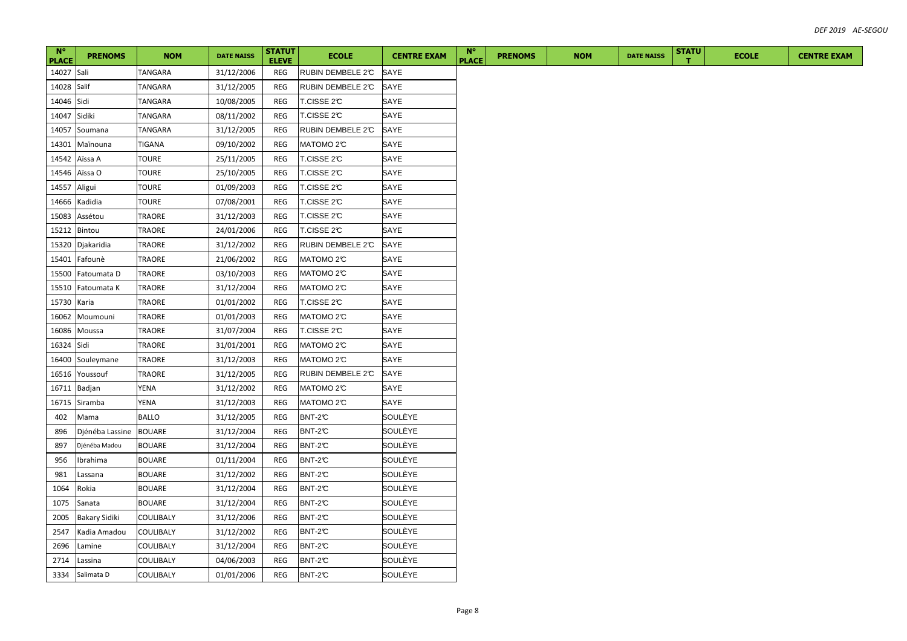| $N^{\circ}$<br><b>PLACE</b> | <b>PRENOMS</b>       | <b>NOM</b>       | <b>DATE NAISS</b> | <b>STATUT</b><br><b>ELEVE</b> | <b>ECOLE</b>           | <b>CENTRE EXAM</b> | $N^{\circ}$<br><b>PLACE</b> | <b>PRENOMS</b> | <b>NOM</b> | <b>DATE NAISS</b> | <b>STATU</b> | <b>ECOLE</b> | <b>CENTRE EXAM</b> |
|-----------------------------|----------------------|------------------|-------------------|-------------------------------|------------------------|--------------------|-----------------------------|----------------|------------|-------------------|--------------|--------------|--------------------|
| 14027                       | Sali                 | TANGARA          | 31/12/2006        | REG                           | RUBIN DEMBELE 2°C      | SAYE               |                             |                |            |                   |              |              |                    |
| 14028                       | Salif                | TANGARA          | 31/12/2005        | REG                           | RUBIN DEMBELE 2°C      | SAYE               |                             |                |            |                   |              |              |                    |
| 14046                       | Sidi                 | TANGARA          | 10/08/2005        | <b>REG</b>                    | T.CISSE 2℃             | SAYE               |                             |                |            |                   |              |              |                    |
| 14047                       | Sidiki               | TANGARA          | 08/11/2002        | <b>REG</b>                    | T.CISSE 2℃             | SAYE               |                             |                |            |                   |              |              |                    |
| 14057                       | Soumana              | TANGARA          | 31/12/2005        | REG                           | RUBIN DEMBELE 2°C      | SAYE               |                             |                |            |                   |              |              |                    |
| 14301                       | Maïnouna             | TIGANA           | 09/10/2002        | <b>REG</b>                    | MATOMO <sub>2</sub> C  | SAYE               |                             |                |            |                   |              |              |                    |
| 14542                       | Aïssa A              | <b>TOURE</b>     | 25/11/2005        | REG                           | T.CISSE 2℃             | SAYE               |                             |                |            |                   |              |              |                    |
| 14546                       | Aïssa O              | TOURE            | 25/10/2005        | <b>REG</b>                    | T.CISSE 2 $\mathbb C$  | SAYE               |                             |                |            |                   |              |              |                    |
| 14557                       | Aligui               | <b>TOURE</b>     | 01/09/2003        | <b>REG</b>                    | T.CISSE 2℃             | SAYE               |                             |                |            |                   |              |              |                    |
| 14666                       | Kadidia              | TOURE            | 07/08/2001        | <b>REG</b>                    | T.CISSE 2℃             | SAYE               |                             |                |            |                   |              |              |                    |
| 15083                       | Assétou              | TRAORE           | 31/12/2003        | <b>REG</b>                    | T.CISSE 2℃             | SAYE               |                             |                |            |                   |              |              |                    |
| 15212                       | Bintou               | TRAORE           | 24/01/2006        | REG                           | T.CISSE 2℃             | SAYE               |                             |                |            |                   |              |              |                    |
| 15320                       | Djakaridia           | TRAORE           | 31/12/2002        | REG                           | RUBIN DEMBELE 2°C      | SAYE               |                             |                |            |                   |              |              |                    |
| 15401                       | Fafounè              | TRAORE           | 21/06/2002        | REG                           | MATOMO <sub>2</sub> °C | SAYE               |                             |                |            |                   |              |              |                    |
| 15500                       | Fatoumata D          | TRAORE           | 03/10/2003        | REG                           | MATOMO <sub>2</sub> C  | SAYE               |                             |                |            |                   |              |              |                    |
| 15510                       | Fatoumata K          | TRAORE           | 31/12/2004        | REG                           | MATOMO <sub>2</sub> C  | SAYE               |                             |                |            |                   |              |              |                    |
| 15730                       | Karia                | TRAORE           | 01/01/2002        | REG                           | T.CISSE 2°C            | SAYE               |                             |                |            |                   |              |              |                    |
| 16062                       | Moumouni             | TRAORE           | 01/01/2003        | REG                           | MATOMO <sub>2</sub> C  | SAYE               |                             |                |            |                   |              |              |                    |
| 16086                       | Moussa               | TRAORE           | 31/07/2004        | REG                           | T.CISSE 2°C            | SAYE               |                             |                |            |                   |              |              |                    |
| 16324                       | Sidi                 | TRAORE           | 31/01/2001        | REG                           | MATOMO <sub>2</sub> C  | SAYE               |                             |                |            |                   |              |              |                    |
| 16400                       | Souleymane           | TRAORE           | 31/12/2003        | REG                           | MATOMO <sub>2</sub> C  | SAYE               |                             |                |            |                   |              |              |                    |
| 16516                       | Youssouf             | TRAORE           | 31/12/2005        | REG                           | RUBIN DEMBELE 2°C      | SAYE               |                             |                |            |                   |              |              |                    |
| 16711                       | Badjan               | YENA             | 31/12/2002        | REG                           | MATOMO <sub>2</sub> C  | SAYE               |                             |                |            |                   |              |              |                    |
| 16715                       | Siramba              | YENA             | 31/12/2003        | REG                           | MATOMO <sub>2</sub> C  | SAYE               |                             |                |            |                   |              |              |                    |
| 402                         | Mama                 | <b>BALLO</b>     | 31/12/2005        | REG                           | BNT-2°C                | SOULÈYE            |                             |                |            |                   |              |              |                    |
| 896                         | Djénéba Lassine      | <b>BOUARE</b>    | 31/12/2004        | REG                           | BNT-2C                 | SOULÈYE            |                             |                |            |                   |              |              |                    |
| 897                         | Djénéba Madou        | <b>BOUARE</b>    | 31/12/2004        | REG                           | BNT-2C                 | SOULÈYE            |                             |                |            |                   |              |              |                    |
| 956                         | Ibrahima             | <b>BOUARE</b>    | 01/11/2004        | REG                           | BNT-2C                 | SOULÈYE            |                             |                |            |                   |              |              |                    |
| 981                         | Lassana              | <b>BOUARE</b>    | 31/12/2002        | REG                           | BNT-2C                 | SOULÈYE            |                             |                |            |                   |              |              |                    |
| 1064                        | Rokia                | <b>BOUARE</b>    | 31/12/2004        | REG                           | BNT-2C                 | SOULÈYE            |                             |                |            |                   |              |              |                    |
| 1075                        | Sanata               | <b>BOUARE</b>    | 31/12/2004        | REG                           | BNT-2C                 | SOULÈYE            |                             |                |            |                   |              |              |                    |
| 2005                        | <b>Bakary Sidiki</b> | COULIBALY        | 31/12/2006        | REG                           | BNT-2C                 | SOULÈYE            |                             |                |            |                   |              |              |                    |
| 2547                        | Kadia Amadou         | COULIBALY        | 31/12/2002        | REG                           | BNT-2C                 | SOULÈYE            |                             |                |            |                   |              |              |                    |
| 2696                        | Lamine               | COULIBALY        | 31/12/2004        | REG                           | BNT-2C                 | SOULÈYE            |                             |                |            |                   |              |              |                    |
| 2714                        | Lassina              | COULIBALY        | 04/06/2003        | REG                           | BNT-2°C                | SOULÈYE            |                             |                |            |                   |              |              |                    |
| 3334                        | Salimata D           | <b>COULIBALY</b> | 01/01/2006        | REG                           | BNT-2C                 | SOULÈYE            |                             |                |            |                   |              |              |                    |